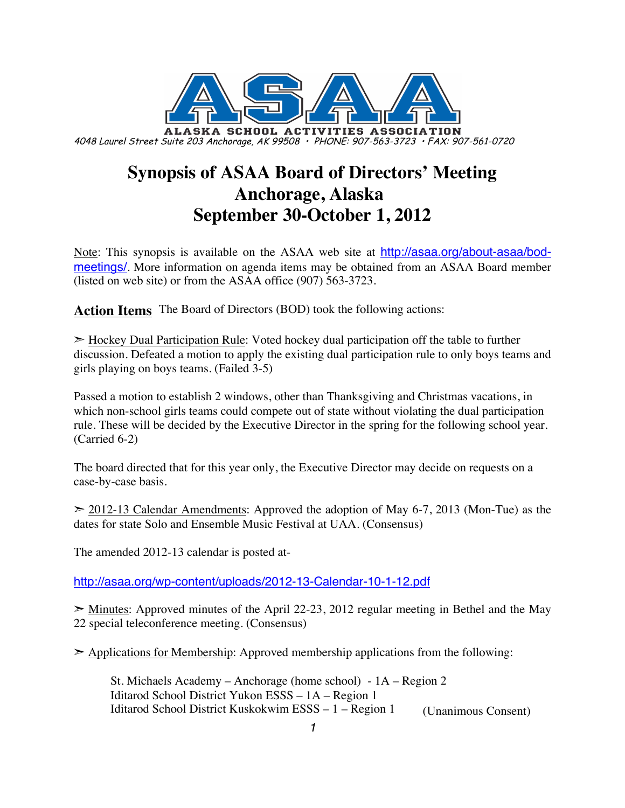

# **Synopsis of ASAA Board of Directors' Meeting Anchorage, Alaska September 30-October 1, 2012**

Note: This synopsis is available on the ASAA web site at http://asaa.org/about-asaa/bodmeetings/. More information on agenda items may be obtained from an ASAA Board member (listed on web site) or from the ASAA office (907) 563-3723.

**Action Items** The Board of Directors (BOD) took the following actions:

 $\geq$  Hockey Dual Participation Rule: Voted hockey dual participation off the table to further discussion. Defeated a motion to apply the existing dual participation rule to only boys teams and girls playing on boys teams. (Failed 3-5)

Passed a motion to establish 2 windows, other than Thanksgiving and Christmas vacations, in which non-school girls teams could compete out of state without violating the dual participation rule. These will be decided by the Executive Director in the spring for the following school year. (Carried 6-2)

The board directed that for this year only, the Executive Director may decide on requests on a case-by-case basis.

 $\geq$  2012-13 Calendar Amendments: Approved the adoption of May 6-7, 2013 (Mon-Tue) as the dates for state Solo and Ensemble Music Festival at UAA. (Consensus)

The amended 2012-13 calendar is posted at-

http://asaa.org/wp-content/uploads/2012-13-Calendar-10-1-12.pdf

 $\geq$  Minutes: Approved minutes of the April 22-23, 2012 regular meeting in Bethel and the May 22 special teleconference meeting. (Consensus)

 $\geq$  Applications for Membership: Approved membership applications from the following:

St. Michaels Academy – Anchorage (home school) - 1A – Region 2 Iditarod School District Yukon ESSS – 1A – Region 1 Iditarod School District Kuskokwim ESSS – 1 – Region 1 (Unanimous Consent)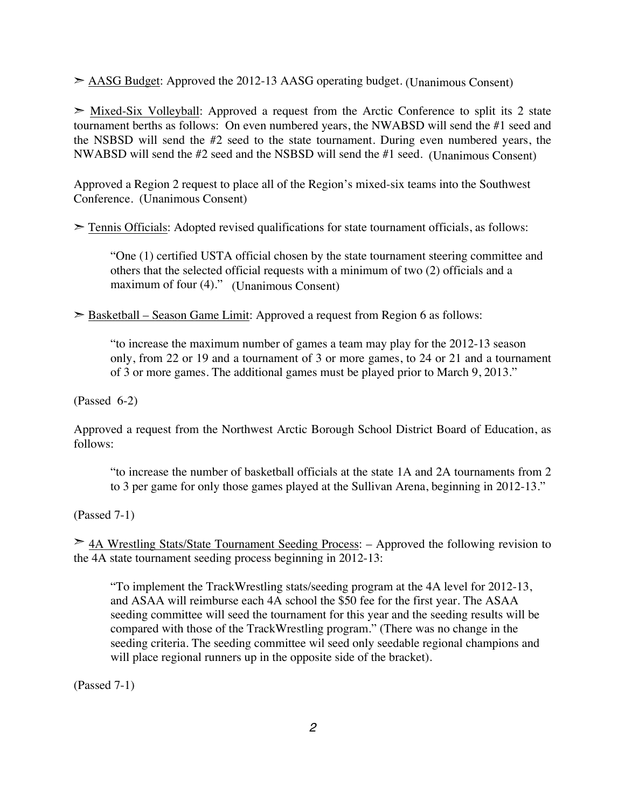➣ AASG Budget: Approved the 2012-13 AASG operating budget. (Unanimous Consent)

 $\triangleright$  Mixed-Six Volleyball: Approved a request from the Arctic Conference to split its 2 state tournament berths as follows: On even numbered years, the NWABSD will send the #1 seed and the NSBSD will send the #2 seed to the state tournament. During even numbered years, the NWABSD will send the #2 seed and the NSBSD will send the #1 seed. (Unanimous Consent)

Approved a Region 2 request to place all of the Region's mixed-six teams into the Southwest Conference. (Unanimous Consent)

 $\geq$  Tennis Officials: Adopted revised qualifications for state tournament officials, as follows:

"One (1) certified USTA official chosen by the state tournament steering committee and others that the selected official requests with a minimum of two (2) officials and a maximum of four (4)." (Unanimous Consent)

 $\geq$  Basketball – Season Game Limit: Approved a request from Region 6 as follows:

"to increase the maximum number of games a team may play for the 2012-13 season only, from 22 or 19 and a tournament of 3 or more games, to 24 or 21 and a tournament of 3 or more games. The additional games must be played prior to March 9, 2013."

(Passed 6-2)

Approved a request from the Northwest Arctic Borough School District Board of Education, as follows:

"to increase the number of basketball officials at the state 1A and 2A tournaments from 2 to 3 per game for only those games played at the Sullivan Arena, beginning in 2012-13."

(Passed 7-1)

➣ 4A Wrestling Stats/State Tournament Seeding Process: – Approved the following revision to the 4A state tournament seeding process beginning in 2012-13:

"To implement the TrackWrestling stats/seeding program at the 4A level for 2012-13, and ASAA will reimburse each 4A school the \$50 fee for the first year. The ASAA seeding committee will seed the tournament for this year and the seeding results will be compared with those of the TrackWrestling program." (There was no change in the seeding criteria. The seeding committee wil seed only seedable regional champions and will place regional runners up in the opposite side of the bracket).

(Passed 7-1)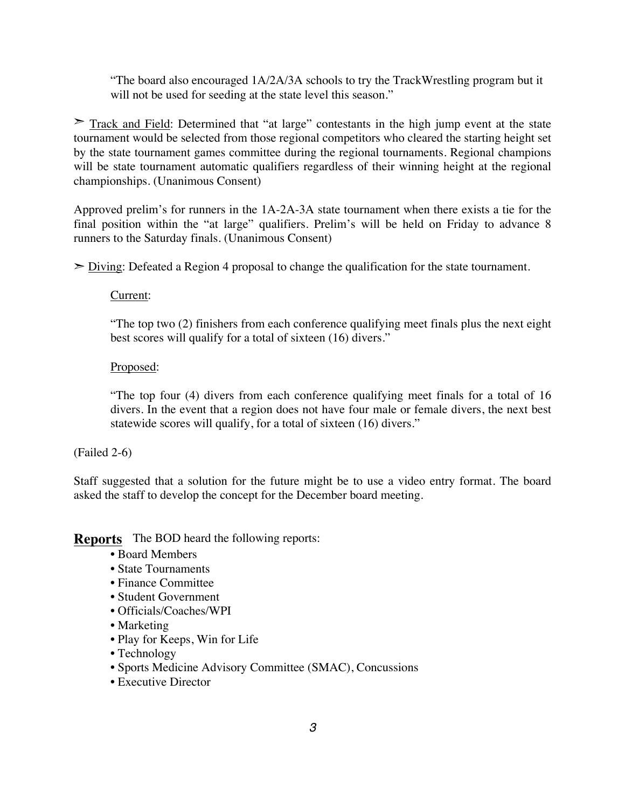"The board also encouraged 1A/2A/3A schools to try the TrackWrestling program but it will not be used for seeding at the state level this season."

 $\geq$  Track and Field: Determined that "at large" contestants in the high jump event at the state tournament would be selected from those regional competitors who cleared the starting height set by the state tournament games committee during the regional tournaments. Regional champions will be state tournament automatic qualifiers regardless of their winning height at the regional championships. (Unanimous Consent)

Approved prelim's for runners in the 1A-2A-3A state tournament when there exists a tie for the final position within the "at large" qualifiers. Prelim's will be held on Friday to advance 8 runners to the Saturday finals. (Unanimous Consent)

 $\geq$  Diving: Defeated a Region 4 proposal to change the qualification for the state tournament.

#### Current:

"The top two (2) finishers from each conference qualifying meet finals plus the next eight best scores will qualify for a total of sixteen (16) divers."

#### Proposed:

"The top four (4) divers from each conference qualifying meet finals for a total of 16 divers. In the event that a region does not have four male or female divers, the next best statewide scores will qualify, for a total of sixteen (16) divers."

#### (Failed 2-6)

Staff suggested that a solution for the future might be to use a video entry format. The board asked the staff to develop the concept for the December board meeting.

**Reports** The BOD heard the following reports:

- Board Members
- State Tournaments
- Finance Committee
- Student Government
- Officials/Coaches/WPI
- Marketing
- Play for Keeps, Win for Life
- Technology
- Sports Medicine Advisory Committee (SMAC), Concussions
- Executive Director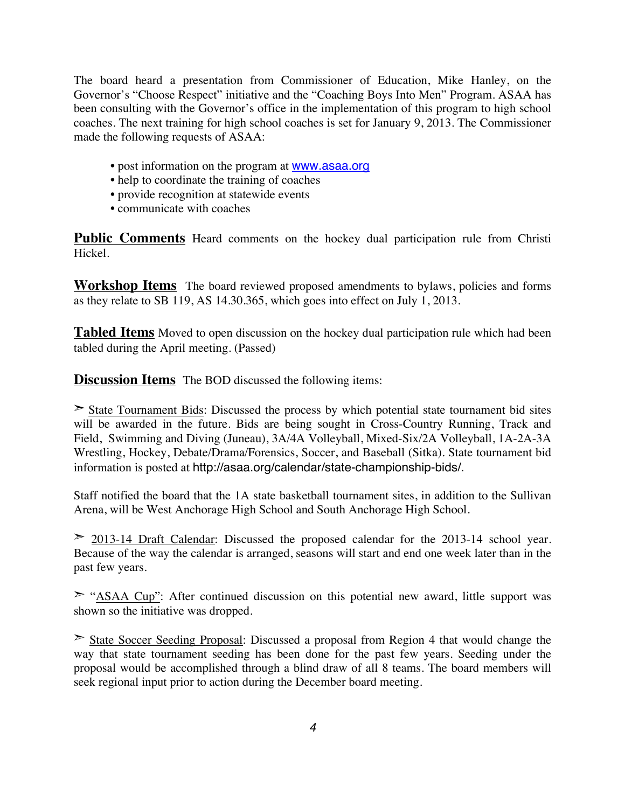The board heard a presentation from Commissioner of Education, Mike Hanley, on the Governor's "Choose Respect" initiative and the "Coaching Boys Into Men" Program. ASAA has been consulting with the Governor's office in the implementation of this program to high school coaches. The next training for high school coaches is set for January 9, 2013. The Commissioner made the following requests of ASAA:

- post information on the program at www.asaa.org
- help to coordinate the training of coaches
- provide recognition at statewide events
- communicate with coaches

Public Comments Heard comments on the hockey dual participation rule from Christi Hickel.

**Workshop Items** The board reviewed proposed amendments to bylaws, policies and forms as they relate to SB 119, AS 14.30.365, which goes into effect on July 1, 2013.

**Tabled Items** Moved to open discussion on the hockey dual participation rule which had been tabled during the April meeting. (Passed)

**Discussion Items** The BOD discussed the following items:

 $\geq$  State Tournament Bids: Discussed the process by which potential state tournament bid sites will be awarded in the future. Bids are being sought in Cross-Country Running, Track and Field, Swimming and Diving (Juneau), 3A/4A Volleyball, Mixed-Six/2A Volleyball, 1A-2A-3A Wrestling, Hockey, Debate/Drama/Forensics, Soccer, and Baseball (Sitka). State tournament bid information is posted at http://asaa.org/calendar/state-championship-bids/.

Staff notified the board that the 1A state basketball tournament sites, in addition to the Sullivan Arena, will be West Anchorage High School and South Anchorage High School.

 $\geq$  2013-14 Draft Calendar: Discussed the proposed calendar for the 2013-14 school year. Because of the way the calendar is arranged, seasons will start and end one week later than in the past few years.

 $\geq$  "ASAA Cup": After continued discussion on this potential new award, little support was shown so the initiative was dropped.

➣ State Soccer Seeding Proposal: Discussed a proposal from Region 4 that would change the way that state tournament seeding has been done for the past few years. Seeding under the proposal would be accomplished through a blind draw of all 8 teams. The board members will seek regional input prior to action during the December board meeting.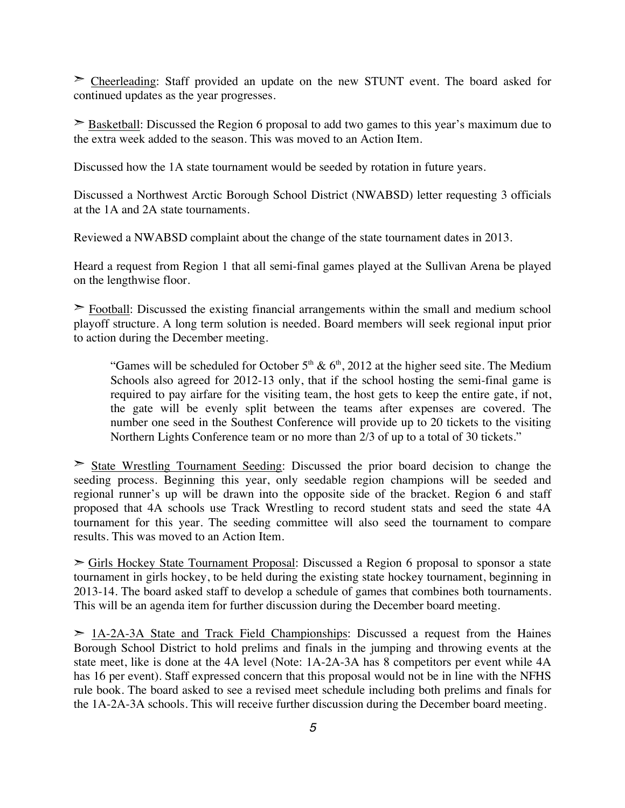➣ Cheerleading: Staff provided an update on the new STUNT event. The board asked for continued updates as the year progresses.

➣ Basketball: Discussed the Region 6 proposal to add two games to this year's maximum due to the extra week added to the season. This was moved to an Action Item.

Discussed how the 1A state tournament would be seeded by rotation in future years.

Discussed a Northwest Arctic Borough School District (NWABSD) letter requesting 3 officials at the 1A and 2A state tournaments.

Reviewed a NWABSD complaint about the change of the state tournament dates in 2013.

Heard a request from Region 1 that all semi-final games played at the Sullivan Arena be played on the lengthwise floor.

 $\geq$  Football: Discussed the existing financial arrangements within the small and medium school playoff structure. A long term solution is needed. Board members will seek regional input prior to action during the December meeting.

"Games will be scheduled for October  $5<sup>th</sup>$  &  $6<sup>th</sup>$ , 2012 at the higher seed site. The Medium Schools also agreed for 2012-13 only, that if the school hosting the semi-final game is required to pay airfare for the visiting team, the host gets to keep the entire gate, if not, the gate will be evenly split between the teams after expenses are covered. The number one seed in the Southest Conference will provide up to 20 tickets to the visiting Northern Lights Conference team or no more than 2/3 of up to a total of 30 tickets."

 $\geq$  State Wrestling Tournament Seeding: Discussed the prior board decision to change the seeding process. Beginning this year, only seedable region champions will be seeded and regional runner's up will be drawn into the opposite side of the bracket. Region 6 and staff proposed that 4A schools use Track Wrestling to record student stats and seed the state 4A tournament for this year. The seeding committee will also seed the tournament to compare results. This was moved to an Action Item.

➣ Girls Hockey State Tournament Proposal: Discussed a Region 6 proposal to sponsor a state tournament in girls hockey, to be held during the existing state hockey tournament, beginning in 2013-14. The board asked staff to develop a schedule of games that combines both tournaments. This will be an agenda item for further discussion during the December board meeting.

 $>$  1A-2A-3A State and Track Field Championships: Discussed a request from the Haines Borough School District to hold prelims and finals in the jumping and throwing events at the state meet, like is done at the 4A level (Note: 1A-2A-3A has 8 competitors per event while 4A has 16 per event). Staff expressed concern that this proposal would not be in line with the NFHS rule book. The board asked to see a revised meet schedule including both prelims and finals for the 1A-2A-3A schools. This will receive further discussion during the December board meeting.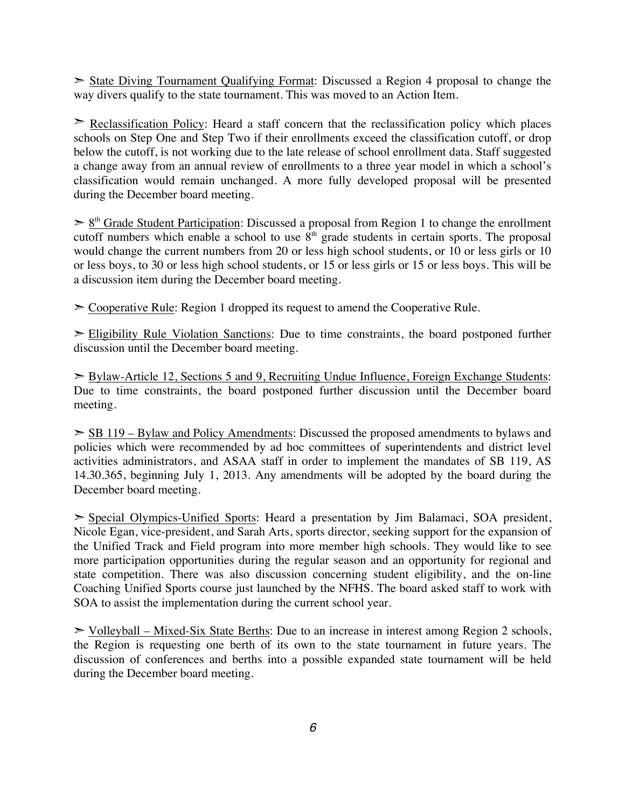$\geq$  State Diving Tournament Qualifying Format: Discussed a Region 4 proposal to change the way divers qualify to the state tournament. This was moved to an Action Item.

 $\geq$  Reclassification Policy: Heard a staff concern that the reclassification policy which places schools on Step One and Step Two if their enrollments exceed the classification cutoff, or drop below the cutoff, is not working due to the late release of school enrollment data. Staff suggested a change away from an annual review of enrollments to a three year model in which a school's classification would remain unchanged. A more fully developed proposal will be presented during the December board meeting.

 $\geq 8$ <sup>th</sup> G<u>rade Student Participation</u>: Discussed a proposal from Region 1 to change the enrollment cutoff numbers which enable a school to use  $8<sup>th</sup>$  grade students in certain sports. The proposal would change the current numbers from 20 or less high school students, or 10 or less girls or 10 or less boys, to 30 or less high school students, or 15 or less girls or 15 or less boys. This will be a discussion item during the December board meeting.

 $\geq$  Cooperative Rule: Region 1 dropped its request to amend the Cooperative Rule.

 $\geq$  Eligibility Rule Violation Sanctions: Due to time constraints, the board postponed further discussion until the December board meeting.

➣ Bylaw-Article 12, Sections 5 and 9, Recruiting Undue Influence, Foreign Exchange Students: Due to time constraints, the board postponed further discussion until the December board meeting.

 $\geq$  SB 119 – Bylaw and Policy Amendments: Discussed the proposed amendments to bylaws and policies which were recommended by ad hoc committees of superintendents and district level activities administrators, and ASAA staff in order to implement the mandates of SB 119, AS 14.30.365, beginning July 1, 2013. Any amendments will be adopted by the board during the December board meeting.

➣ Special Olympics-Unified Sports: Heard a presentation by Jim Balamaci, SOA president, Nicole Egan, vice-president, and Sarah Arts, sports director, seeking support for the expansion of the Unified Track and Field program into more member high schools. They would like to see more participation opportunities during the regular season and an opportunity for regional and state competition. There was also discussion concerning student eligibility, and the on-line Coaching Unified Sports course just launched by the NFHS. The board asked staff to work with SOA to assist the implementation during the current school year.

 $\triangleright$  Volleyball – Mixed-Six State Berths: Due to an increase in interest among Region 2 schools, the Region is requesting one berth of its own to the state tournament in future years. The discussion of conferences and berths into a possible expanded state tournament will be held during the December board meeting.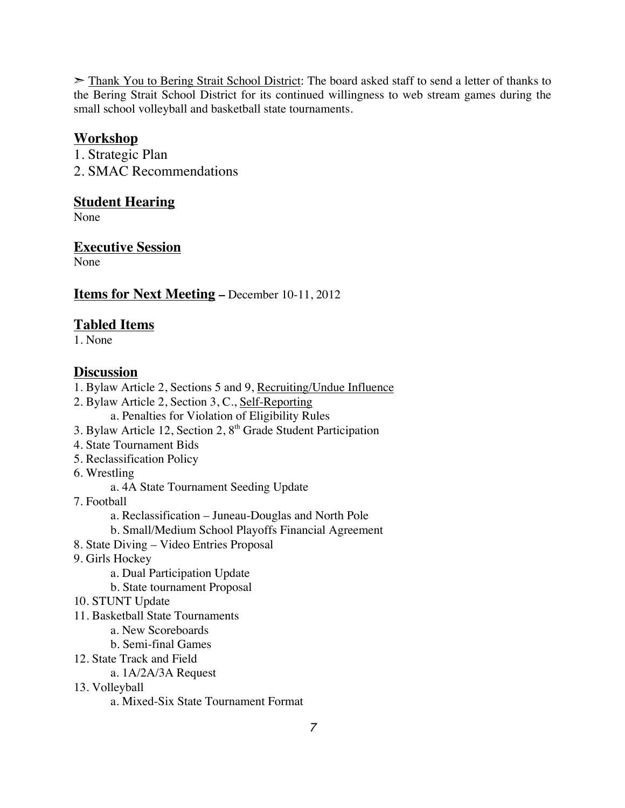➣ Thank You to Bering Strait School District: The board asked staff to send a letter of thanks to the Bering Strait School District for its continued willingness to web stream games during the small school volleyball and basketball state tournaments.

## **Workshop**

1. Strategic Plan 2. SMAC Recommendations

#### **Student Hearing**

None

## **Executive Session**

None

### **Items for Next Meeting –** December 10-11, 2012

## **Tabled Items**

1. None

### **Discussion**

- 1. Bylaw Article 2, Sections 5 and 9, Recruiting/Undue Influence
- 2. Bylaw Article 2, Section 3, C., Self-Reporting a. Penalties for Violation of Eligibility Rules
- 3. Bylaw Article 12, Section 2, 8<sup>th</sup> Grade Student Participation
- 4. State Tournament Bids
- 5. Reclassification Policy
- 6. Wrestling
	- a. 4A State Tournament Seeding Update
- 7. Football
	- a. Reclassification Juneau-Douglas and North Pole
	- b. Small/Medium School Playoffs Financial Agreement
- 8. State Diving Video Entries Proposal
- 9. Girls Hockey
	- a. Dual Participation Update
	- b. State tournament Proposal
- 10. STUNT Update
- 11. Basketball State Tournaments
	- a. New Scoreboards
	- b. Semi-final Games
- 12. State Track and Field
	- a. 1A/2A/3A Request
- 13. Volleyball

a. Mixed-Six State Tournament Format